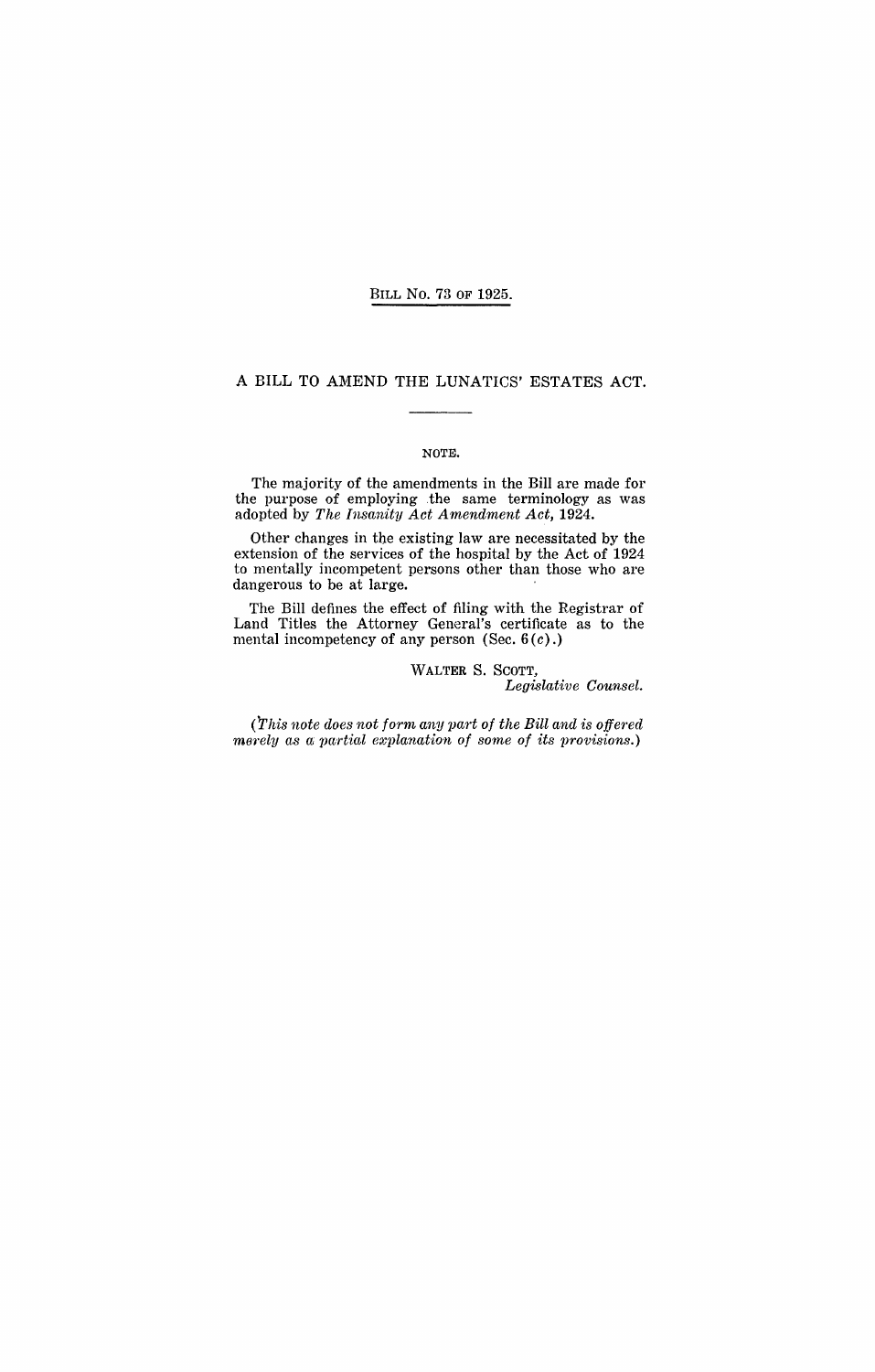#### BILL No. 73 OF 1925.

### A BILL TO AMEND THE LUNATICS' ESTATES ACT.

### NOTE.

The majority of the amendments in the Bill are made for the purpose of employing .the same terminology as was adopted by *The Insanity Act Amendment Act, 1924.* 

Other changes in tbe existing law are necessitated by the extension of the services of the hospital by the Act of 1924 to mentally incompetent persons other than those who are dangerous to be at large.

The Bill defines the effect of filing with the Registrar of Land Titles the Attorney General's certificate as to the mental incompetency of any person (Sec.  $6(c)$ .)

> WALTER S. SCOTT, *Legislative Counsel.*

*(This note does not form any part of the Bill and is offered merely as a partial explanation of some of its provisions.)*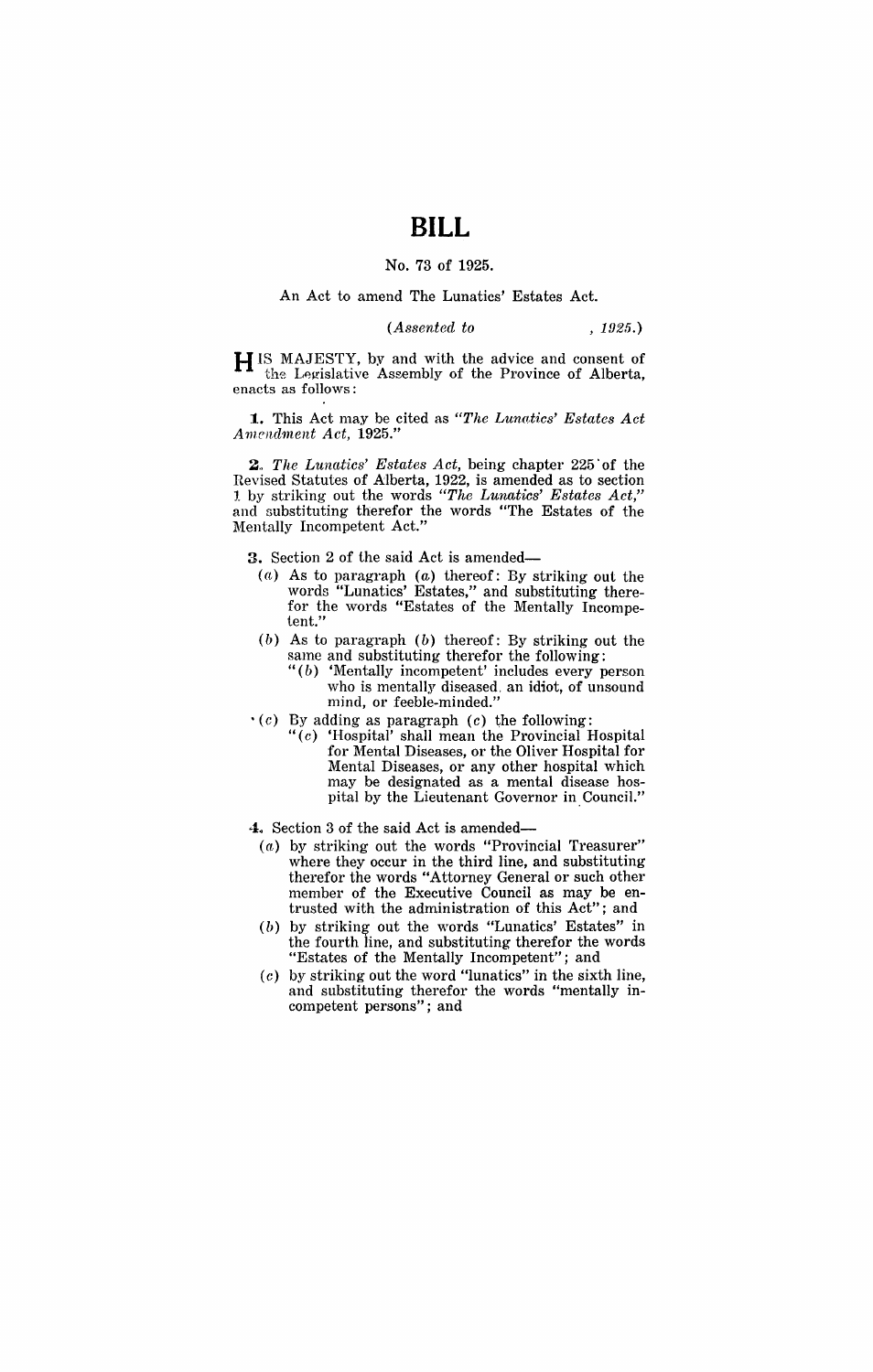# **BILL**

### No. 73 of 1925.

### An Act to amend The Lunatics' Estates Act.

*(Assented to* , 1925.)

H IS MAJESTY, by and with the advice and consent of the Legislative Assembly of the Province of Alberta, enacts as follows:

**1.** This Act may be cited as *"The Lunntics' Estates Act A 111cnd1'nent Act, 1925."* 

2. The Lunatics' Estates Act, being chapter 225 of the Revised Statutes of Alberta, 1922, is amended as to section 1 by striking out the words *"The Lunatics' Estates Act,"*  and substituting therefor the words "The Estates of the Mentally Incompetent Act."

3. Section 2 of the said Act is amended-

- (a) As to paragraph (a) thereof: By striking out the words "Lunatics' Estates," and substituting therefor the words "Estates of the Mentally Incompetent."
- $(b)$  As to paragraph  $(b)$  thereof: By striking out the same and substituting therefor the following:
	- $\sqrt[n]{(b)}$  'Mentally incompetent' includes every person who is mentally diseased. an idiot, of unsound mind, or feeble-minded."
- $\cdot$  (c) By adding as paragraph (c) the following:
	- $((c)$  'Hospital' shall mean the Provincial Hospital for Mental Diseases, or the Oliver Hospital for Mental Diseases, or any other hospital which may be designated as a mental disease hospital by the Lieutenant Governor in Council."
- 4. Section 3 of the said Act is amended-
	- (a) by striking out the words "Provincial Treasurer" where they occur in the third line, and substituting therefor the words "Attorney General or such other member of the Executive Council as may be entrusted with the administration of this Act"; and
	- $(b)$  by striking out the words "Lunatics' Estates" in the fourth line, and substituting therefor the words "Estates of the Mentally Incompetent"; and
	- $(c)$  by striking out the word "lunatics" in the sixth line, and substituting therefor the words "mentally incompetent persons"; and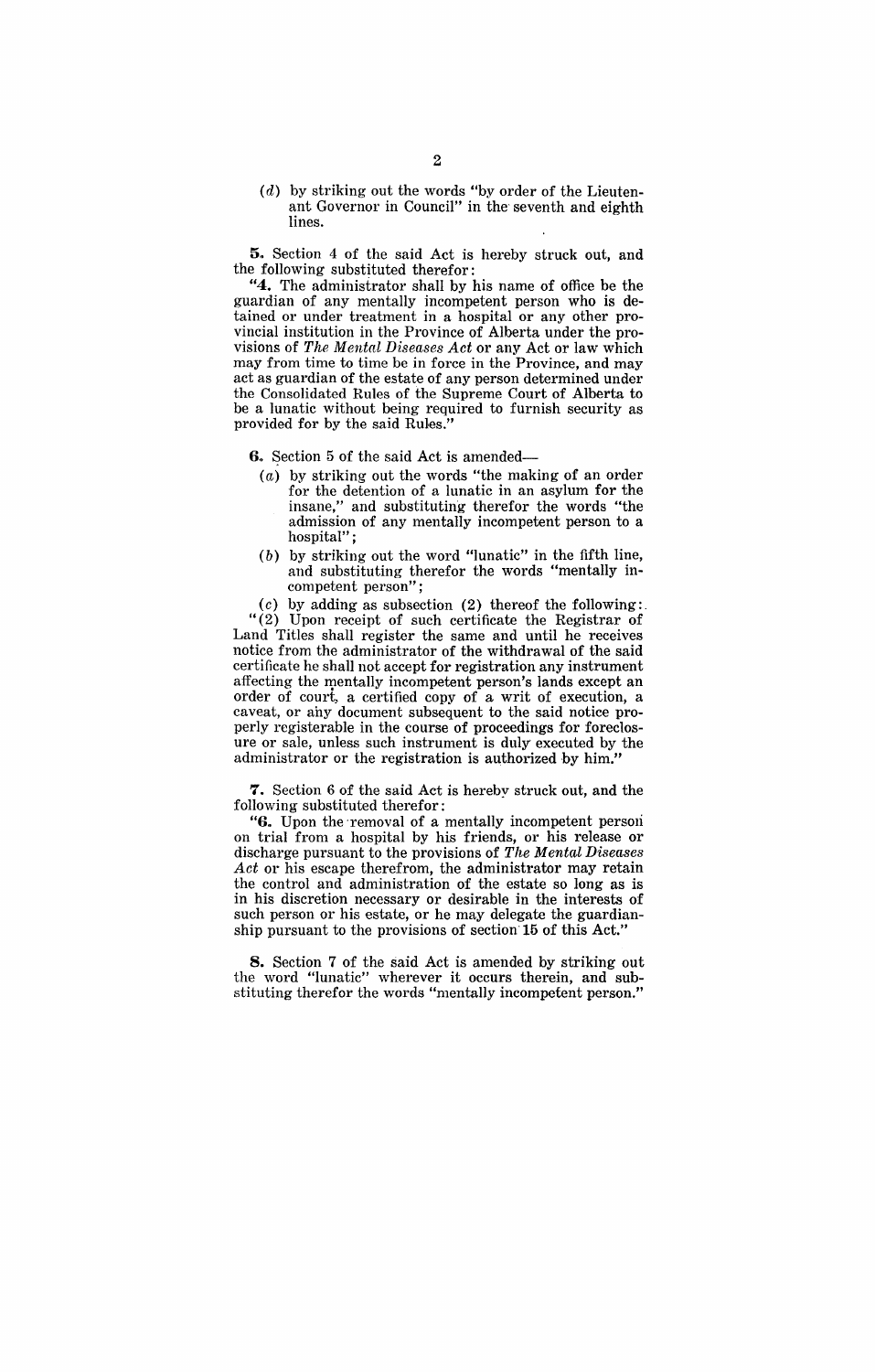$(d)$  by striking out the words "by order of the Lieutenant Governor in Council" in the seventh and eighth lines.

5. Section 4 of the said Act is hereby struck out, and the following substituted therefor:

**"4.** The administrator shall by his name of office be the guardian of any mentally incompetent person who is detained or under treatment in a hospital or any other provincial institution in the Province of Alberta under the provisions of *The Mentnl Diseases Act* or any Act or law which may from time to time be in force in the Province, and may act as guardian of the estate of any person determined under the Consolidated Rules of the Supreme Court of Alberta to be a lunatic without being required to furnish security as provided for by the said Rules."

6. Section 5 of the said Act is amended-

- (a) by striking out the words "the making of an order for the detention of a lunatic in an asylum for the insane," and substituting therefor the words "the admission of any mentally incompetent person to a hospital";
- (b) by striking out the word "lunatic" in the fifth line, and substituting therefor the words "mentally incompetent person";

(c) by adding as subsection (2) thereof the following: "(2) Upon receipt of such certificate the Registrar of Land Titles shall register the same and until he receives notice from the administrator of the withdrawal of the said certificate he shall not accept for registration any instrument affecting the mentally incompetent person's lands except an order of court, a certified copy of a writ of execution, a caveat, or any document subsequent to the said notice properly registerable in the course of proceedings for foreclosure or sale, unless such instrument is duly executed by the administrator or the registration is authorized by him.

**7.** Section 6 of the said Act is hereby struck out, and the following substituted therefor:

"6. Upon the removal of a mentally incompetent person on trial from a hospital by his friends, or his release or discharge pursuant to the provisions of *The Mental Diseases Act* or his escape therefrom, the administrator may retain the control and administration of the estate so long as is in his discretion necessary or desirable in the interests of such person or his estate, or he may delegate the guardianship pursuant to the provisions of section 15 of this Act.'

**8.** Section 7 of the said Act is amended by striking out the word "lunatic" wherever it occurs therein, and substituting therefor the words "mentally incompetent person."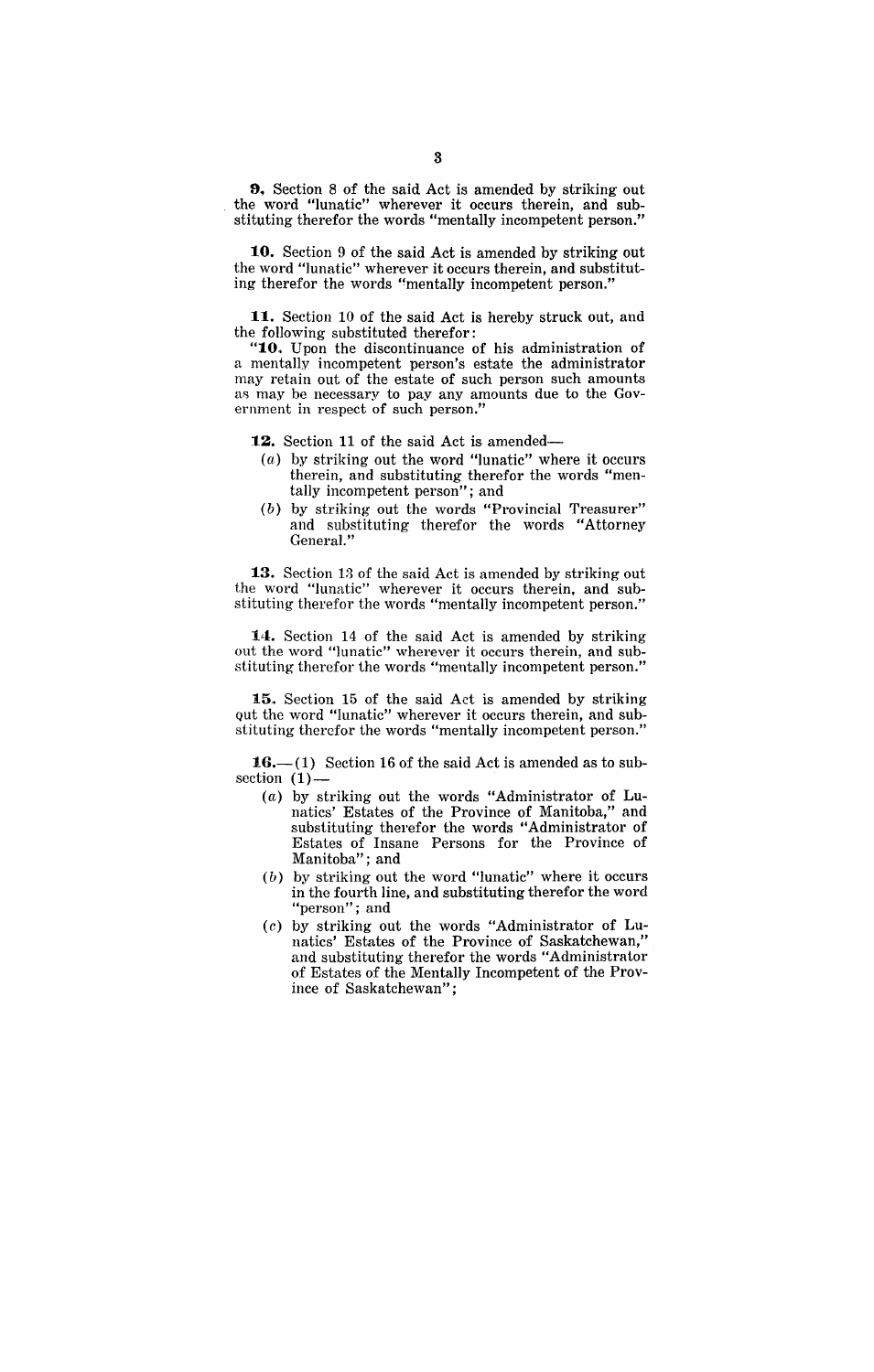9. Section 8 of the said Act is amended by striking out the word "lunatic" wherever it occurs therein, and substituting therefor the words "mentally incompetent person."

10. Section 9 of the said Act is amended by striking out the word "lunatic" wherever it occurs therein, and substituting therefor the words "mentally incompetent person."

11. Section 10 of the said Act is hereby struck out, and the following substituted therefor:

"10. Upon the discontinuance of his administration of a mentally incompetent person's estate the administrator may retain out of the estate of such person such amounts as may be necessary to pay any amounts due to the Government in respect of such person."

12. Section 11 of the said Act is amended-

- (a) by striking out the word "lunatic" where it occurs therein, and substituting therefor the words "mentally incompetent person"; and
- (b) by striking out the words "Provincial Treasurer" and substituting therefor the words "Attorney General."

13. Section 13 of the said Act is amended by striking out the word "lunatic" wherever it occurs therein, and substituting therefor the words "mentally incompetent person."

14. Section 14 of the said Act is amended by striking out the word "lunatic" wherever it occurs therein, and substituting therefor the words "mentally incompetent person."

15. Section 15 of the said Act is amended by striking Qut the word "lunatic" wherever it occurs therein, and substituting therefor the words "mentally incompetent person."

16. $-(1)$  Section 16 of the said Act is amended as to subsection (1)-

- $(a)$  by striking out the words "Administrator of Lunatics' Estates of the Province of Manitoba," and substituting therefor the words "Administrator of Estates of Insane Persons for the Province of Manitoba"; and
- (b) by striking out the word "lunatic" where it occurs in the fourth line, and substituting therefor the word "person"; and
- (c) by striking out the words "Administrator of Lunatics' Estates of the Province of Saskatchewan," and substituting therefor the words "Administrator of Estates of the Mentally Incompetent of the Province of Saskatchewan";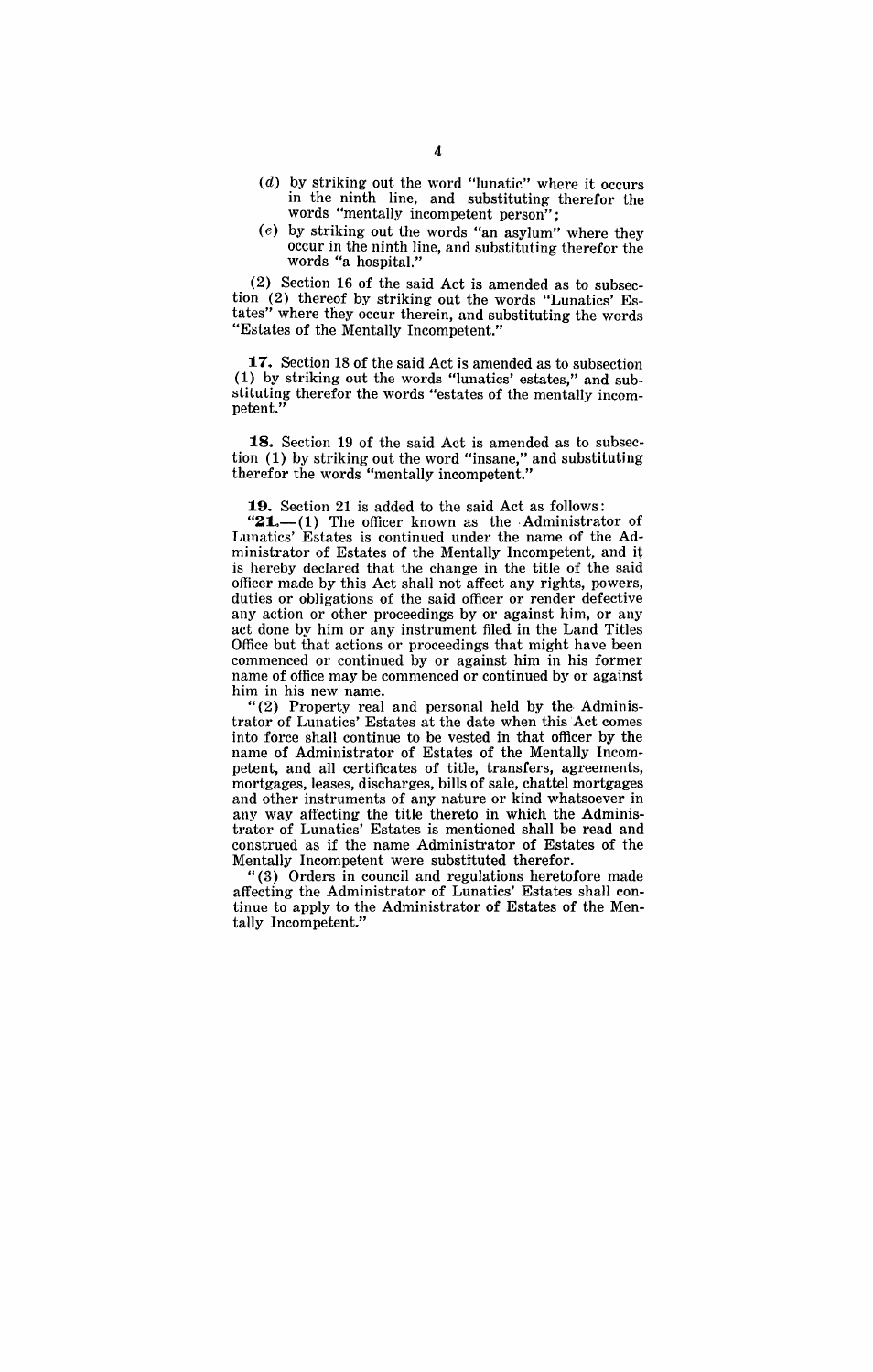- $(d)$  by striking out the word "lunatic" where it occurs in the ninth line, and substituting therefor the words "mentally incompetent person";
- (e) by striking out the words "an asylum" where they occur in the ninth line, and substituting therefor the words "a hospital."

(2) Section 16 of the said Act is amended as to subsection (2) thereof by striking out the words "Lunatics' Estates" where they occur therein, and substituting the words "Estates of the Mentally Incompetent."

**17.** Section 18 of the said Act is amended as to subsection (1) by striking out the words "lunatics' estates," and substituting therefor the words "estates of the mentally incompetent.'

**18.** Section 19 of the said Act is amended as to subsection (1) by striking out the word "insane," and substituting therefor the words "mentally incompetent."

**19.** Section 21 is added to the said Act as follows:

" $21$ .-(1) The officer known as the Administrator of Lunatics' Estates is continued under the name of the Administrator of Estates of the Mentally Incompetent, and it is hereby declared that the change in the title of the said officer made by this Act shall not affect any rights, powers, duties or obligations of the said officer or render defective any action or other proceedings by or against him, or any act done by him or any instrument filed in the Land Titles Office but that actions or proceedings that might have been commenced or continued by or against him in his former name of office may be commenced or continued by or against him in his new name.

"(2) Property real and personal held by the Administrator of Lunatics' Estates at the date when this Act comes into force shall continue to be vested in that officer by the name of Administrator of Estates of the Mentally Incompetent, and all certificates of title, transfers, agreements, mortgages, leases, discharges, bills of sale, chattel mortgages and other instruments of any nature or kind whatsoever in any way affecting the title thereto in which the Administrator of Lunatics' Estates is mentioned shall be read and construed as if the name Administrator of Estates of the Mentally Incompetent were substituted therefor.

"(3) Orders in council and regulations heretofore made affecting the Administrator of Lunatics' Estates shall continue to apply to the Administrator of Estates of the Mentally Incompetent."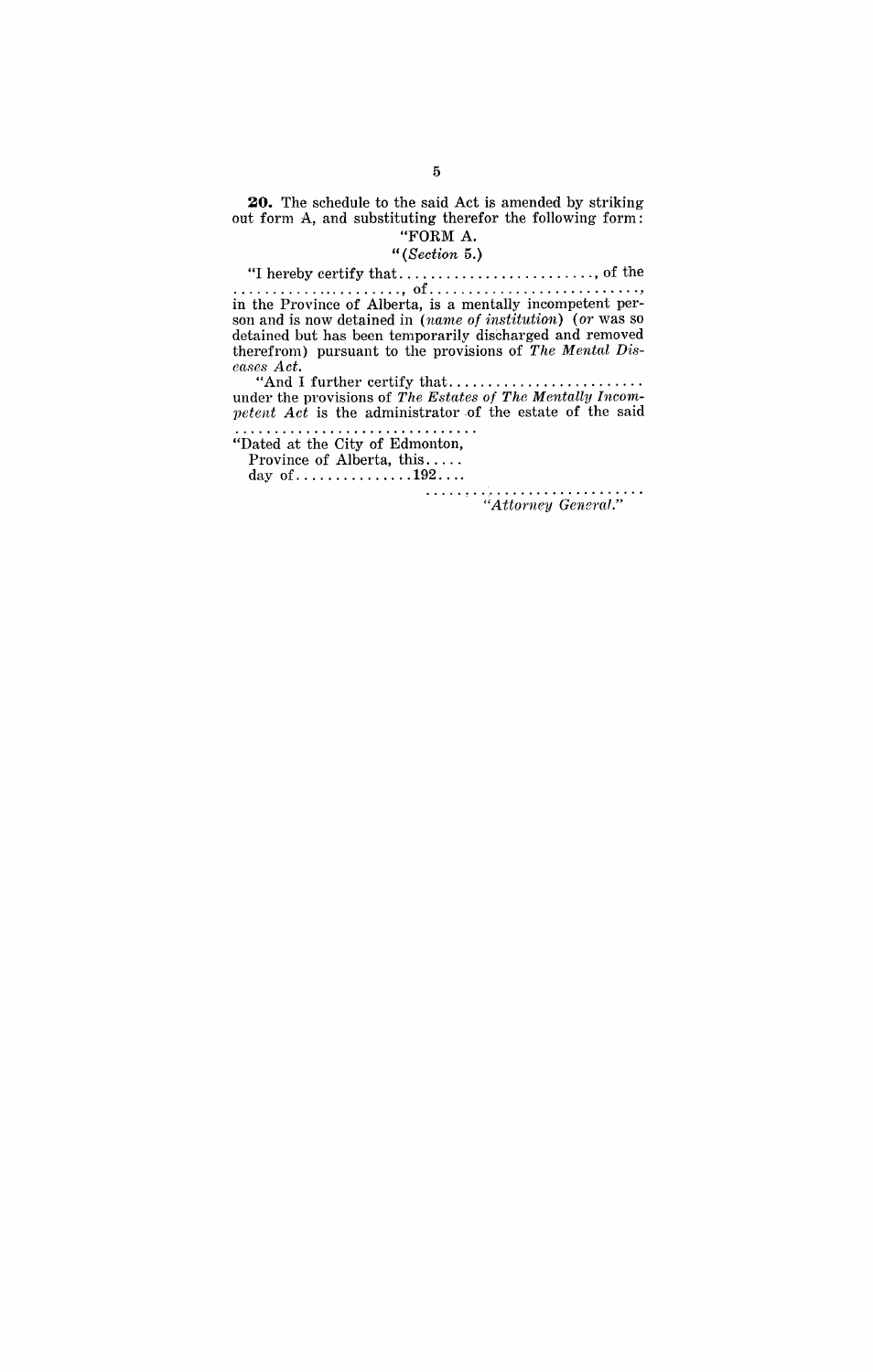**20.** The schedule to the said Act is amended by striking out form A, and substituting therefor the following form: "FORM A.

*"(Section* 5.)

"I hereby certify that ......................... , of the

...................... , of ........................... , in the Province of Alberta, is a mentally incompetent person and is now detained in *(name* of institution) (or was so detained but has been temporarily discharged and removed therefrom) pursuant to the provisions of *The Mental Di8 ea8e8 Act.* 

"And I further certify that ........................ . under the provisions of *The E8tates* of *The* Menta1ly *1nc01n-* $$ 

"Dated at the City of Edmonton,

Province of Alberta, this .... . day of ............... 192 ... . . . . . . ~ . . ,. . . . . . . . . . . . . . . . . . . . "Attorney General."